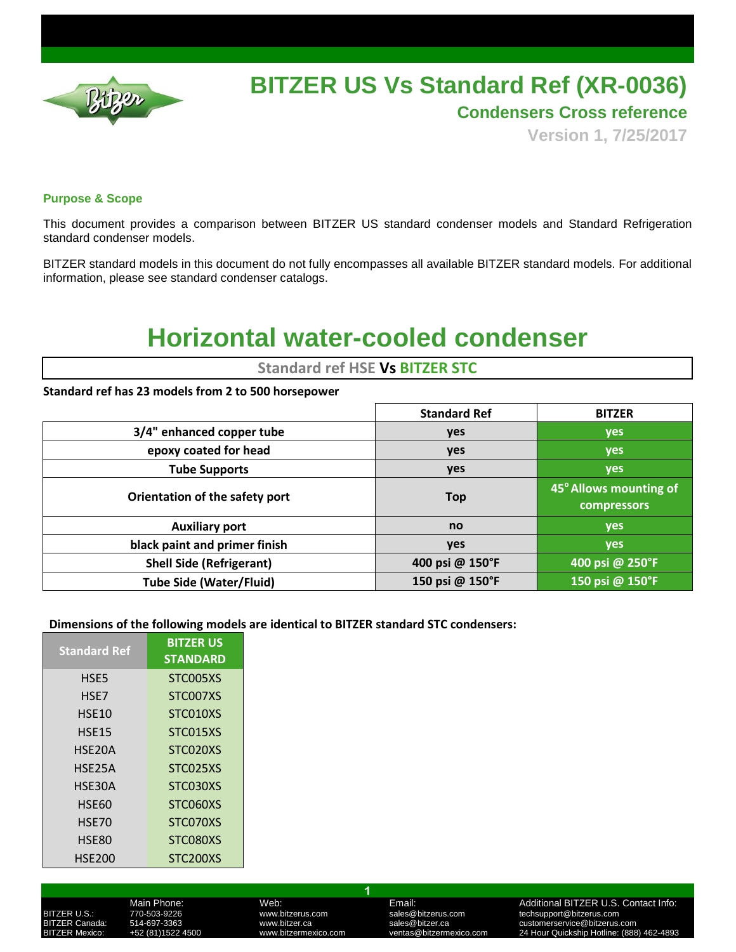

# **BITZER US Vs Standard Ref (XR-0036)**

**Condensers Cross reference**

**Version 1, 7/25/2017**

### **Purpose & Scope**

This document provides a comparison between BITZER US standard condenser models and Standard Refrigeration standard condenser models.

BITZER standard models in this document do not fully encompasses all available BITZER standard models. For additional information, please see standard condenser catalogs.

# **Horizontal water-cooled condenser**

## **Standard ref HSE Vs BITZER STC**

### **Standard ref has 23 models from 2 to 500 horsepower**

|                                 | <b>Standard Ref</b> | <b>BITZER</b>                                |
|---------------------------------|---------------------|----------------------------------------------|
| 3/4" enhanced copper tube       | yes                 | yes                                          |
| epoxy coated for head           | yes                 | <b>yes</b>                                   |
| <b>Tube Supports</b>            | yes                 | yes                                          |
| Orientation of the safety port  | <b>Top</b>          | 45° Allows mounting of<br><b>compressors</b> |
| <b>Auxiliary port</b>           | no                  | <b>yes</b>                                   |
| black paint and primer finish   | <b>yes</b>          | yes                                          |
| <b>Shell Side (Refrigerant)</b> | 400 psi @ 150°F     | 400 psi @ 250°F                              |
| <b>Tube Side (Water/Fluid)</b>  | 150 psi @ 150°F     | 150 psi @ 150°F                              |

### **Dimensions of the following models are identical to BITZER standard STC condensers:**

| <b>Standard Ref</b> | <b>BITZER US</b><br><b>STANDARD</b> |
|---------------------|-------------------------------------|
| HSE5                | STC005XS                            |
| HSE7                | STC007XS                            |
| HSE10               | STC010XS                            |
| <b>HSE15</b>        | STC015XS                            |
| HSE20A              | STC020XS                            |
| HSE25A              | STC025XS                            |
| HSE30A              | STC030XS                            |
| <b>HSE60</b>        | STC060XS                            |
| HSE70               | STC070XS                            |
| HSE80               | STC080XS                            |
| <b>HSE200</b>       | STC200XS                            |

**1**

Main Phone: Web: Web: Email: Email: Additional BITZER U.S. Contact Info:<br>1999-19226 Mww.bitzerus.com sales@bitzerus.com techsupport@bitzerus.com BITZER U.S.: 770-503-9226 www.bitzerus.com sales@bitzerus.com techsupport@bitzerus.com ermandation of the Sales Music Canada: Sales University of the Sales Abitzer.ca sales and the Sales Canada: Sa<br>1920-111224-2000 www.bitzermexico.com strategy entras @bitzermexico.com 24 Hour Quickship Hotline: (888–1990) 24 Hour Quickship Hotline: (888) 462-4893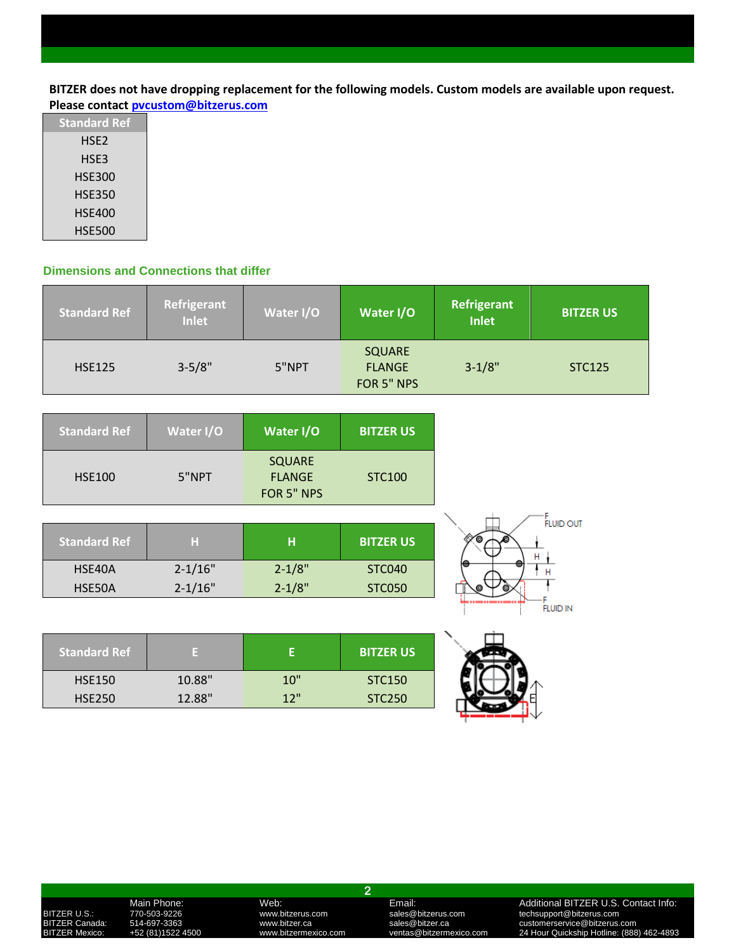**BITZER does not have dropping replacement for the following models. Custom models are available upon request. Please contact [pvcustom@bitzerus.com](mailto:pvcustom@bitzerus.com)**

| <b>Standard Ref</b> |
|---------------------|
| HSE2                |
| HSE3                |
| HSE300              |
| HSE350              |
| <b>HSE400</b>       |
| <b>HSE500</b>       |

### **Dimensions and Connections that differ**

| <b>Standard Ref</b> | Refrigerant<br>Inlet | Water I/O | Water I/O                                    | Refrigerant<br><b>Inlet</b> | <b>BITZER US</b> |
|---------------------|----------------------|-----------|----------------------------------------------|-----------------------------|------------------|
| <b>HSE125</b>       | $3 - 5/8"$           | 5"NPT     | <b>SQUARE</b><br><b>FLANGE</b><br>FOR 5" NPS | $3 - 1/8"$                  | <b>STC125</b>    |

| <b>Standard Ref</b> | Water I/O   | Water I/O                                    | <b>BITZER US</b> |
|---------------------|-------------|----------------------------------------------|------------------|
| <b>HSE100</b>       | 5"NPT       | <b>SQUARE</b><br><b>FLANGE</b><br>FOR 5" NPS | <b>STC100</b>    |
|                     |             |                                              |                  |
| Standard Ref        | н           | н                                            | <b>BITZER US</b> |
| HSE40A              | $2 - 1/16"$ | $2 - 1/8"$                                   | <b>STC040</b>    |

| <b>Standard Ref</b> |        |     | <b>BITZER US</b> |
|---------------------|--------|-----|------------------|
| <b>HSE150</b>       | 10.88" | 10" | STC150           |
| <b>HSE250</b>       | 12.88" | 12" | <b>STC250</b>    |

HSE50A 2-1/16" 2-1/8" STC050



.<br>Fluid in

**2**

BITZER U.S.: 770-503-9226 www.bitzerus.com sales@bitzerus.com techsupport@bitzerus.com

## Main Phone: Web: Web: Email: Email: Additional BITZER U.S. Contact Info:<br>170-503-9226 www.bitzerus.com sales@bitzerus.com techsupport@bitzerus.com<br>14-697-3363 www.bitzer.ca sales@bitzer.ca customerservice@bitzerus.com BITZER Canada: 514-697-3363 www.bitzer.ca sales@bitzer.ca customerservice@bitzerus.com BITZER Mexico: +52 (81)1522 4500 www.bitzermexico.com ventas@bitzermexico.com 24 Hour Quickship Hotline: (888) 462-4893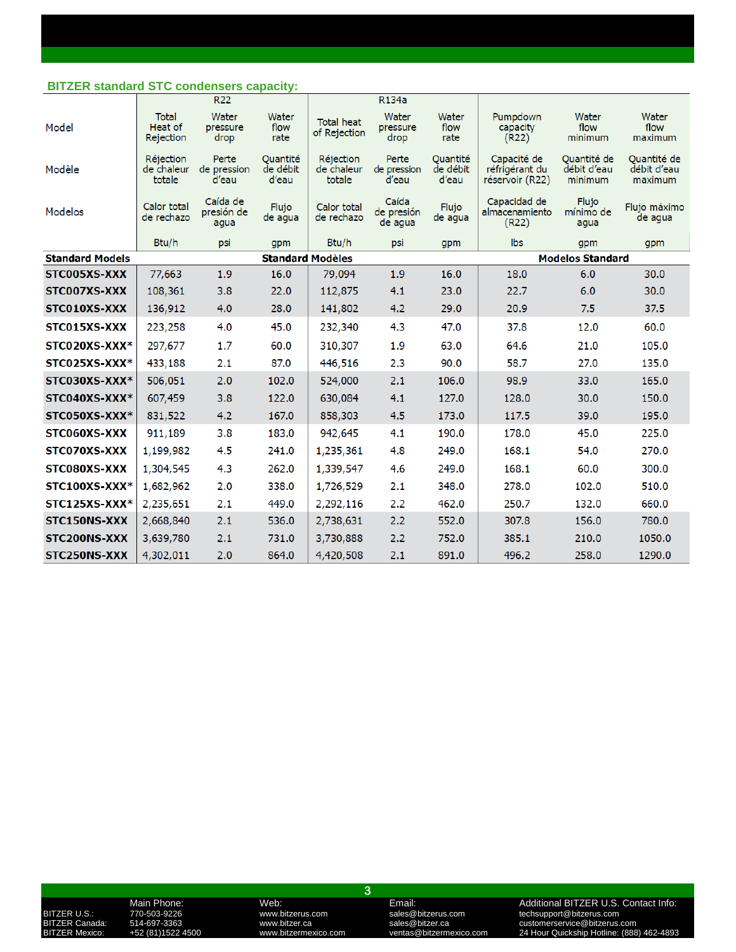### **BITZER standard STC condensers capacity:**

|                        |                                      | R <sub>22</sub>                |                               |                                   | R <sub>134</sub> a             |                               |                                                  |                                       |                                       |
|------------------------|--------------------------------------|--------------------------------|-------------------------------|-----------------------------------|--------------------------------|-------------------------------|--------------------------------------------------|---------------------------------------|---------------------------------------|
| Model                  | <b>Total</b><br>Heat of<br>Rejection | Water<br>pressure<br>drop      | Water<br>flow<br>rate         | <b>Total heat</b><br>of Rejection | Water<br>pressure<br>drop      | Water<br>flow<br>rate         | Pumpdown<br>capacity<br>(R22)                    | Water<br>flow<br>minimum              | Water<br>flow<br>maximum              |
| Modèle                 | Réjection<br>de chaleur<br>totale    | Perte<br>de pression<br>d'eau  | Quantité<br>de débit<br>d'eau | Réjection<br>de chaleur<br>totale | Perte<br>de pression<br>d'eau  | Quantité<br>de débit<br>d'eau | Capacité de<br>réfrigérant du<br>réservoir (R22) | Quantité de<br>débit d'eau<br>minimum | Quantité de<br>débit d'eau<br>maximum |
| Modelos                | Calor total<br>de rechazo            | Caída de<br>presión de<br>aqua | Flujo<br>de agua              | Calor total<br>de rechazo         | Caída<br>de presión<br>de agua | Flujo<br>de agua              | Capacidad de<br>almacenamiento<br>(R22)          | Flujo<br>mínimo de<br>aqua            | Flujo máximo<br>de agua               |
|                        | Btu/h                                | psi                            | gpm                           | Btu/h                             | psi                            | gpm                           | lbs                                              | gpm                                   | gpm                                   |
| <b>Standard Models</b> |                                      |                                | <b>Standard Modèles</b>       |                                   |                                |                               |                                                  | <b>Modelos Standard</b>               |                                       |
| STC005XS-XXX           | 77,663                               | 1.9                            | 16.0                          | 79,094                            | 1.9                            | 16.0                          | 18.0                                             | 6.0                                   | 30.0                                  |
| STC007XS-XXX           | 108,361                              | 3.8                            | 22.0                          | 112,875                           | 4.1                            | 23.0                          | 22.7                                             | 6.0                                   | 30.0                                  |
| STC010XS-XXX           | 136,912                              | 4.0                            | 28.0                          | 141,802                           | 4.2                            | 29.0                          | 20.9                                             | 7.5                                   | 37.5                                  |
| STC015XS-XXX           | 223,258                              | 4.0                            | 45.0                          | 232,340                           | 4.3                            | 47.0                          | 37.8                                             | 12.0                                  | 60.0                                  |
| STC020XS-XXX*          | 297,677                              | 1.7                            | 60.0                          | 310,307                           | 1.9                            | 63.0                          | 64.6                                             | 21.0                                  | 105.0                                 |
| STC025XS-XXX*          | 433,188                              | 2.1                            | 87.0                          | 446,516                           | 2.3                            | 90.0                          | 58.7                                             | 27.0                                  | 135.0                                 |
| STC030XS-XXX*          | 506,051                              | 2.0                            | 102.0                         | 524,000                           | 2.1                            | 106.0                         | 98.9                                             | 33.0                                  | 165.0                                 |
| STC040XS-XXX*          | 607,459                              | 3.8                            | 122.0                         | 630,084                           | 4.1                            | 127.0                         | 128.0                                            | 30.0                                  | 150.0                                 |
| STC050XS-XXX*          | 831,522                              | 4.2                            | 167.0                         | 858,303                           | 4.5                            | 173.0                         | 117.5                                            | 39.0                                  | 195.0                                 |
| STC060XS-XXX           | 911,189                              | 3.8                            | 183.0                         | 942,645                           | 4.1                            | 190.0                         | 178.0                                            | 45.0                                  | 225.0                                 |
| STC070XS-XXX           | 1,199,982                            | 4.5                            | 241.0                         | 1,235,361                         | 4.8                            | 249.0                         | 168.1                                            | 54.0                                  | 270.0                                 |
| STC080XS-XXX           | 1,304,545                            | 4.3                            | 262.0                         | 1,339,547                         | 4.6                            | 249.0                         | 168.1                                            | 60.0                                  | 300.0                                 |
| STC100XS-XXX*          | 1,682,962                            | 2.0                            | 338.0                         | 1,726,529                         | 2.1                            | 348.0                         | 278.0                                            | 102.0                                 | 510.0                                 |
| STC125XS-XXX*          | 2,235,651                            | 2.1                            | 449.0                         | 2,292,116                         | 2.2                            | 462.0                         | 250.7                                            | 132.0                                 | 660.0                                 |
| STC150NS-XXX           | 2,668,840                            | 2.1                            | 536.0                         | 2,738,631                         | 2.2                            | 552.0                         | 307.8                                            | 156.0                                 | 780.0                                 |
| STC200NS-XXX           | 3,639,780                            | 2.1                            | 731.0                         | 3,730,888                         | 2.2                            | 752.0                         | 385.1                                            | 210.0                                 | 1050.0                                |
| STC250NS-XXX           | 4,302,011                            | 2.0                            | 864.0                         | 4,420,508                         | 2.1                            | 891.0                         | 496.2                                            | 258.0                                 | 1290.0                                |

**3**

Main Phone: Web: Web: Email: Email: Additional BITZER U.S. Contact Info:<br>170-503-9226 www.bitzerus.com sales@bitzerus.com techsupport@bitzerus.com<br>14-697-3363 www.bitzer.ca sales@bitzer.ca customerservice@bitzerus.com BITZER U.S.: 770-503-9226 www.bitzerus.com sales@bitzerus.com techsupport@bitzerus.com BITZER Canada: 514-697-3363 www.bitzer.ca sales@bitzer.ca customerservice@bitzerus.com BITZER U.S.:  $\frac{1}{20}$ <br>BITZER Canada: 514-697-3363 www.bitzer.ca sales@bitzerus.com clecksupport@bitzerus.com<br>BITZER Mexico: +52 (81)1522 4500 www.bitzermexico.com ventas@bitzermexico.com 24 Hour Quickship Hotline: (888)<br>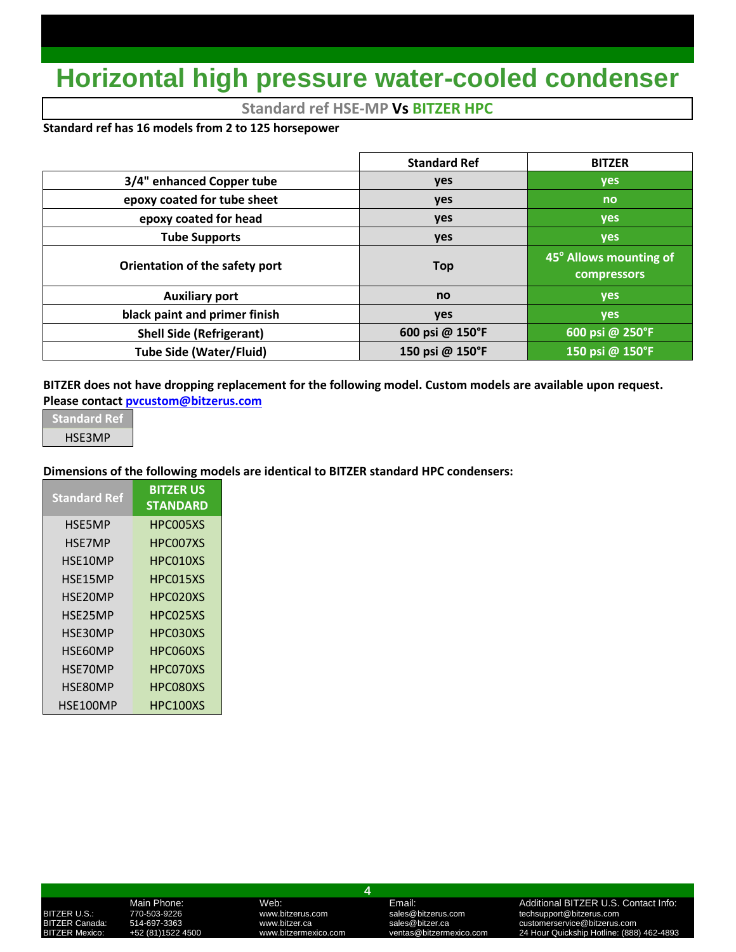# **Horizontal high pressure water-cooled condenser**

## **Standard ref HSE-MP Vs BITZER HPC**

### **Standard ref has 16 models from 2 to 125 horsepower**

|                                 | <b>Standard Ref</b> | <b>BITZER</b>                         |
|---------------------------------|---------------------|---------------------------------------|
| 3/4" enhanced Copper tube       | yes                 | yes                                   |
| epoxy coated for tube sheet     | yes                 | no                                    |
| epoxy coated for head           | <b>yes</b>          | yes                                   |
| <b>Tube Supports</b>            | yes                 | yes                                   |
| Orientation of the safety port  | <b>Top</b>          | 45° Allows mounting of<br>compressors |
| <b>Auxiliary port</b>           | no                  | yes                                   |
| black paint and primer finish   | yes                 | <b>ves</b>                            |
| <b>Shell Side (Refrigerant)</b> | 600 psi @ 150°F     | 600 psi @ 250°F                       |
| <b>Tube Side (Water/Fluid)</b>  | 150 psi @ 150°F     | 150 psi @ 150°F                       |

**BITZER does not have dropping replacement for the following model. Custom models are available upon request. Please contac[t pvcustom@bitzerus.com](mailto:pvcustom@bitzerus.com)**

**Standard Ref** HSE3MP

### **Dimensions of the following models are identical to BITZER standard HPC condensers:**

| <b>Standard Ref</b> | <b>BITZER US</b><br><b>STANDARD</b> |
|---------------------|-------------------------------------|
| HSF5MP              | HPC005XS                            |
| HSE7MP              | HPC007XS                            |
| HSE10MP             | HPC010XS                            |
| HSE15MP             | HPC015XS                            |
| HSE20MP             | HPC020XS                            |
| HSE25MP             | HPC025XS                            |
| HSE30MP             | HPC030XS                            |
| HSE60MP             | HPC060XS                            |
| HSE70MP             | HPC070XS                            |
| HSE80MP             | HPC080XS                            |
| HSE100MP            | HPC100XS                            |

**4**

### Main Phone: Web: Web: Email: Email: Additional BITZER U.S. Contact Info:<br>1999-19226 MWW.bitzerus.com sales@bitzerus.com techsupport@bitzerus.com<br>1997-3363 MWW.bitzer.ca sales@bitzer.ca customerservice@bitzerus.com BITZER U.S.: 770-503-9226 www.bitzerus.com sales@bitzerus.com techsupport@bitzerus.com BITZER Canada: 514-697-3363 www.bitzer.ca sales@bitzer.ca customerservice@bitzerus.com<br>BITZER Mexico: +52 (81)1522 4500 www.bitzermexico.com ventas@bitzermexico.com 24 Hour Quickship 24 Hour Quickship Hotline: (888) 462-4893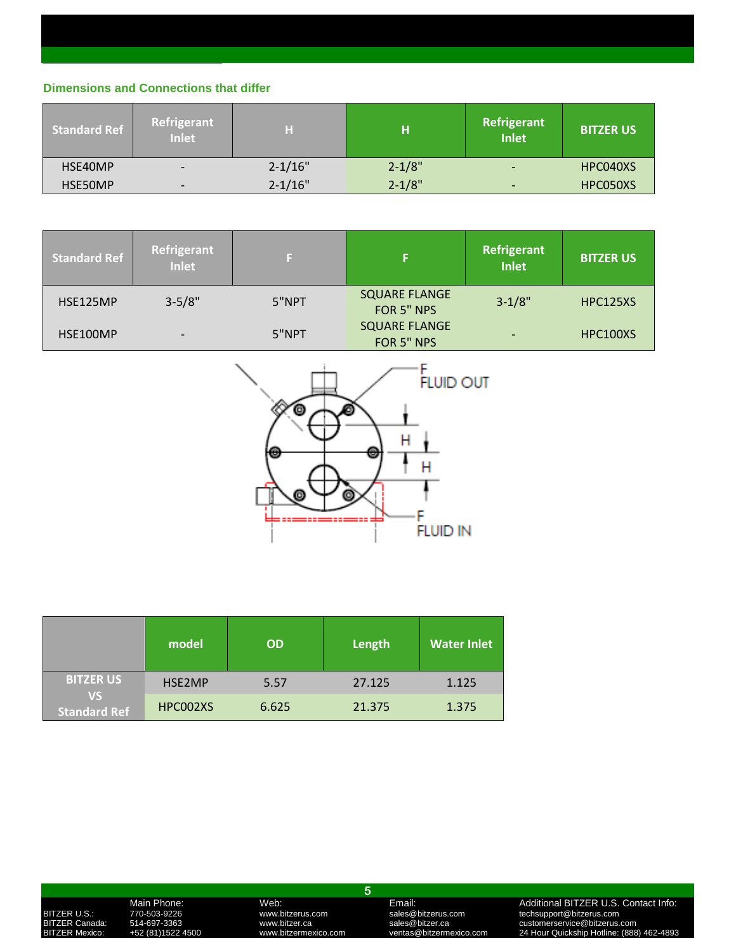### **Dimensions and Connections that differ**

| <b>Standard Ref</b> | Refrigerant<br><b>Inlet</b> | Η           | н          | <b>Refrigerant</b><br>Inlet | <b>BITZER US</b> |
|---------------------|-----------------------------|-------------|------------|-----------------------------|------------------|
| HSE40MP             |                             | $2 - 1/16"$ | $2 - 1/8"$ | $\overline{\phantom{0}}$    | HPC040XS         |
| HSE50MP             | $\overline{\phantom{0}}$    | $2 - 1/16"$ | $2 - 1/8"$ | $\overline{\phantom{0}}$    | HPC050XS         |

| <b>Standard Ref</b> | Refrigerant<br><b>Inlet</b> |       |                                    | Refrigerant<br><b>Inlet</b> | <b>BITZER US</b> |
|---------------------|-----------------------------|-------|------------------------------------|-----------------------------|------------------|
| HSE125MP            | $3 - 5/8"$                  | 5"NPT | <b>SQUARE FLANGE</b><br>FOR 5" NPS | $3 - 1/8"$                  | HPC125XS         |
| HSE100MP            |                             | 5"NPT | <b>SQUARE FLANGE</b><br>FOR 5" NPS | $\overline{\phantom{0}}$    | HPC100XS         |



|                                  | model    | <b>OD</b> | Length | <b>Water Inlet</b> |
|----------------------------------|----------|-----------|--------|--------------------|
| <b>BITZER US</b>                 | HSE2MP   | 5.57      | 27.125 | 1.125              |
| <b>VS</b><br><b>Standard Ref</b> | HPC002XS | 6.625     | 21.375 | 1.375              |

**5**

### Main Phone: Web: Web: Email: Email: Additional BITZER U.S. Contact Info:<br>170-503-9226 www.bitzerus.com sales@bitzerus.com techsupport@bitzerus.com<br>14-697-3363 www.bitzer.ca sales@bitzer.ca customerservice@bitzerus.com BITZER U.S.: 770-503-9226 www.bitzerus.com sales@bitzerus.com techsupport@bitzerus.com BITZER Canada: 514-697-3363 www.bitzer.ca sales@bitzer.ca customerservice@bitzerus.com BITZER Mexico: +52 (81)1522 4500 www.bitzermexico.com ventas@bitzermexico.com 24 Hour Quickship Hotline: (888) 462-4893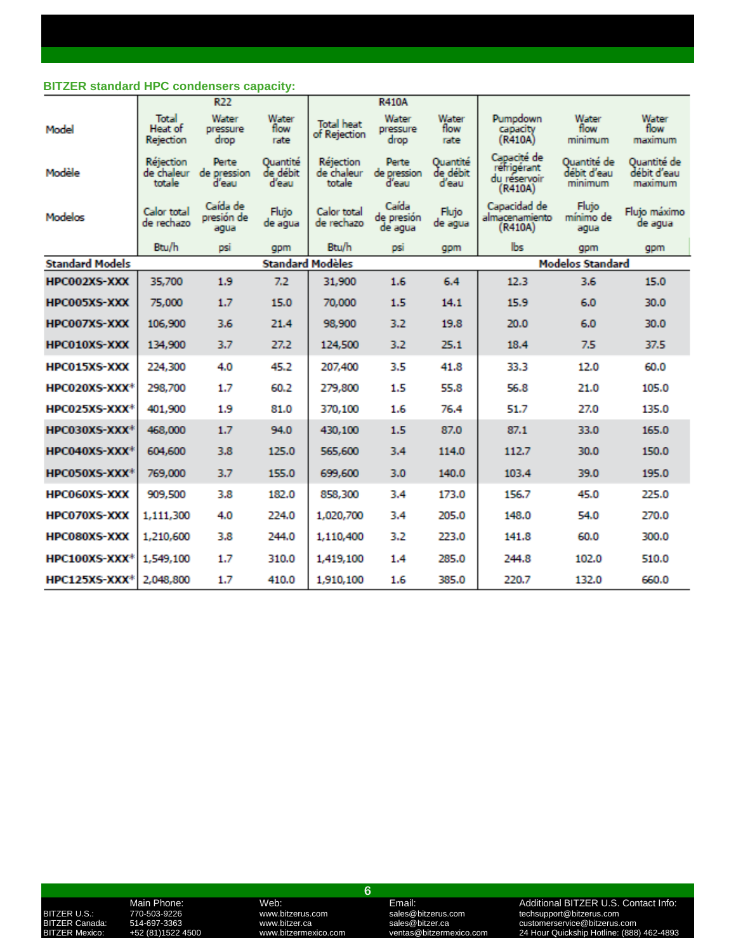### **BITZER standard HPC condensers capacity:**

|                           |                                   | R22                            |                               |                                   | <b>R410A</b>                   |                               |                                                       |                                       |                                       |
|---------------------------|-----------------------------------|--------------------------------|-------------------------------|-----------------------------------|--------------------------------|-------------------------------|-------------------------------------------------------|---------------------------------------|---------------------------------------|
| Model                     | Total<br>Heat of<br>Rejection     | Water<br>pressure<br>drop      | Water<br>flow<br>rate         | <b>Total heat</b><br>of Rejection | Water<br>pressure<br>drop      | Water<br>flow<br>rate         | Pumpdown<br>capacity<br>(R410A)                       | Water<br>flow<br>minimum              | Water<br>flow<br>maximum              |
| Modèle                    | Réjection<br>de chaleur<br>totale | Perte<br>de pression<br>d'eau  | Quantité<br>de débit<br>d'eau | Réjection<br>de chaleur<br>totale | Perte<br>de pression<br>d'eau  | Quantité<br>de débit<br>d'eau | Capacité de<br>réfrigérant<br>du réservoir<br>(R410A) | Quantité de<br>débit d'eau<br>minimum | Quantité de<br>débit d'eau<br>maximum |
| Modelos                   | Calor total<br>de rechazo         | Caída de<br>presión de<br>aqua | Flujo<br>de agua              | Calor total<br>de rechazo         | Caída<br>de presión<br>de aqua | Flujo<br>de agua              | Capacidad de<br>almacenamiento<br>(R410A)             | Fluto<br>mínimo de<br>aqua            | Flujo máximo<br>de aqua               |
|                           | Btu/h                             | psi                            | gpm                           | <b>Btu/h</b>                      | psi                            | gpm                           | lbs                                                   | gpm                                   | gpm                                   |
| <b>Standard Models</b>    |                                   |                                | <b>Standard Modèles</b>       |                                   |                                |                               |                                                       | <b>Modelos Standard</b>               |                                       |
| HPC002XS-XXX              | 35,700                            | 1.9                            | 7.2                           | 31,900                            | 1.6                            | 6.4                           | 12.3                                                  | 3.6                                   | 15.0                                  |
| HPC005XS-XXX              | 75,000                            | 1.7                            | 15.0                          | 70,000                            | 1.5                            | 14.1                          | 15.9                                                  | 6.0                                   | 30.0                                  |
| <b>HPC007XS-XXX</b>       | 106,900                           | 3.6                            | 21.4                          | 98,900                            | 3.2                            | 19.8                          | 20.0                                                  | 6.0                                   | 30.0                                  |
| <b>HPC010XS-XXX</b>       | 134,900                           | 3.7                            | 27.2                          | 124,500                           | 3,2                            | 25.1                          | 18.4                                                  | 7.5                                   | 37.5                                  |
| <b>HPC015XS-XXX</b>       | 224,300                           | 4.0                            | 45.2                          | 207,400                           | 3.5                            | 41.8                          | 33.3                                                  | 12.0                                  | 60.0                                  |
| HPC020XS-XXX*             | 298,700                           | 1.7                            | 60.2                          | 279,800                           | 1.5                            | 55.8                          | 56.8                                                  | 21.0                                  | 105.0                                 |
| HPC025XS-XXX*             | 401.900                           | 1.9                            | 81.0                          | 370,100                           | 1.6                            | 76.4                          | 51.7                                                  | 27.0                                  | 135.0                                 |
| HPC030XS-XXX*             | 468.000                           | 1.7                            | 94.0                          | 430,100                           | 1.5                            | 87.0                          | 87.1                                                  | 33.0                                  | 165.0                                 |
| HPC040XS-XXX <sup>+</sup> | 604,600                           | 3.8                            | 125.0                         | 565,600                           | 3.4                            | 114.0                         | 112.7                                                 | 30.0                                  | 150.0                                 |
| HPC050XS-XXX <sup>+</sup> | 769,000                           | 3.7                            | 155.0                         | 699,600                           | 3.0                            | 140.0                         | 103.4                                                 | 39.0                                  | 195.0                                 |
| <b>HPC060XS-XXX</b>       | 909,500                           | 3.8                            | 182.0                         | 858,300                           | 3.4                            | 173.0                         | 156.7                                                 | 45.0                                  | 225.0                                 |
| <b>HPC070XS-XXX</b>       | 1,111,300                         | 4.0                            | 224.0                         | 1,020,700                         | 3.4                            | 205.0                         | 148.0                                                 | 54.0                                  | 270.0                                 |
| <b>HPC080XS-XXX</b>       | 1,210,600                         | 3.8                            | 244.0                         | 1,110,400                         | 3.2                            | 223.0                         | 141.8                                                 | 60.0                                  | 300.0                                 |
| HPC100XS-XXX <sup>+</sup> | 1,549,100                         | 1.7                            | 310.0                         | 1,419,100                         | 1.4                            | 285.0                         | 244.8                                                 | 102.0                                 | 510.0                                 |
| $HPC125XS-XXX*$           | 2,048,800                         | 1.7                            | 410.0                         | 1,910,100                         | 1.6                            | 385.0                         | 220.7                                                 | 132.0                                 | 660.0                                 |

**6**

### Main Phone: Web: Web: Email: Email: Additional BITZER U.S. Contact Info:<br>170-503-9226 www.bitzerus.com sales@bitzerus.com techsupport@bitzerus.com<br>14-697-3363 www.bitzer.ca sales@bitzer.ca customerservice@bitzerus.com BITZER U.S.: 770-503-9226 www.bitzerus.com sales@bitzerus.com techsupport@bitzerus.com BITZER Canada: 514-697-3363 www.bitzer.ca sales@bitzer.ca customerservice@bitzerus.com BITZER U.S.:  $\frac{1}{20}$ <br>BITZER Canada: 514-697-3363 www.bitzer.ca sales@bitzerus.com clecksupport@bitzerus.com<br>BITZER Mexico: +52 (81)1522 4500 www.bitzermexico.com ventas@bitzermexico.com 24 Hour Quickship Hotline: (888)<br>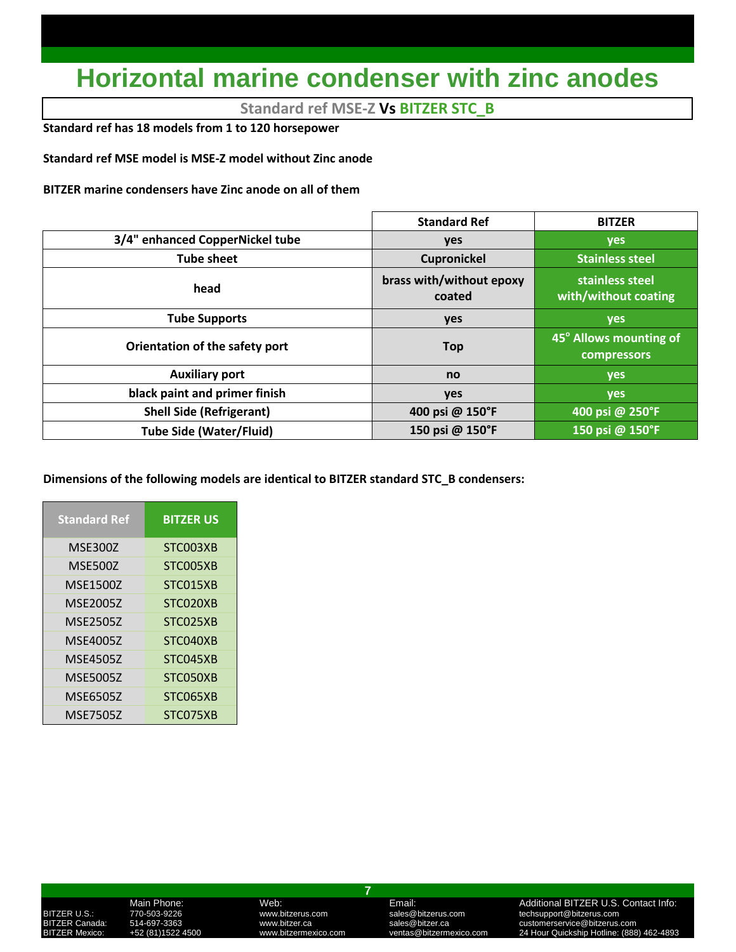# **Horizontal marine condenser with zinc anodes**

**Standard ref MSE-Z Vs BITZER STC\_B**

**Standard ref has 18 models from 1 to 120 horsepower**

**Standard ref MSE model is MSE-Z model without Zinc anode**

**BITZER marine condensers have Zinc anode on all of them**

|                                 | <b>Standard Ref</b>                | <b>BITZER</b>                                |
|---------------------------------|------------------------------------|----------------------------------------------|
| 3/4" enhanced CopperNickel tube | yes                                | <b>yes</b>                                   |
| <b>Tube sheet</b>               | <b>Cupronickel</b>                 | <b>Stainless steel</b>                       |
| head                            | brass with/without epoxy<br>coated | stainless steel<br>with/without coating      |
| <b>Tube Supports</b>            | yes                                | yes                                          |
| Orientation of the safety port  | <b>Top</b>                         | 45° Allows mounting of<br><b>compressors</b> |
| <b>Auxiliary port</b>           | no                                 | <b>yes</b>                                   |
| black paint and primer finish   | yes                                | <b>yes</b>                                   |
| <b>Shell Side (Refrigerant)</b> | 400 psi @ 150°F                    | 400 psi @ 250°F                              |
| <b>Tube Side (Water/Fluid)</b>  | 150 psi @ 150°F                    | 150 psi @ 150°F                              |

**Dimensions of the following models are identical to BITZER standard STC\_B condensers:**

| <b>Standard Ref</b> | <b>BITZER US</b> |
|---------------------|------------------|
| <b>MSE300Z</b>      | STC003XB         |
| <b>MSE500Z</b>      | STC005XB         |
| <b>MSE1500Z</b>     | STC015XB         |
| <b>MSE2005Z</b>     | STC020XB         |
| <b>MSE2505Z</b>     | STC025XB         |
| <b>MSE4005Z</b>     | STC040XB         |
| <b>MSE4505Z</b>     | STC045XB         |
| <b>MSE5005Z</b>     | STC050XB         |
| <b>MSE6505Z</b>     | STC065XB         |
| <b>MSE7505Z</b>     | STC075XB         |

**7**

### Main Phone: Web: Web: Email: Email: Additional BITZER U.S. Contact Info:<br>1999-19926 MWW.bitzerus.com sales@bitzerus.com techsupport@bitzerus.com<br>1997-3363 MWW.bitzer.ca sales@bitzer.ca customerservice@bitzerus.com BITZER U.S.: 770-503-9226 www.bitzerus.com sales@bitzerus.com techsupport@bitzerus.com BITZER Canada: 514-697-3363 www.bitzer.ca sales@bitzer.ca customerservice@bitzerus.com 24 Hour Quickship Hotline: (888) 462-4893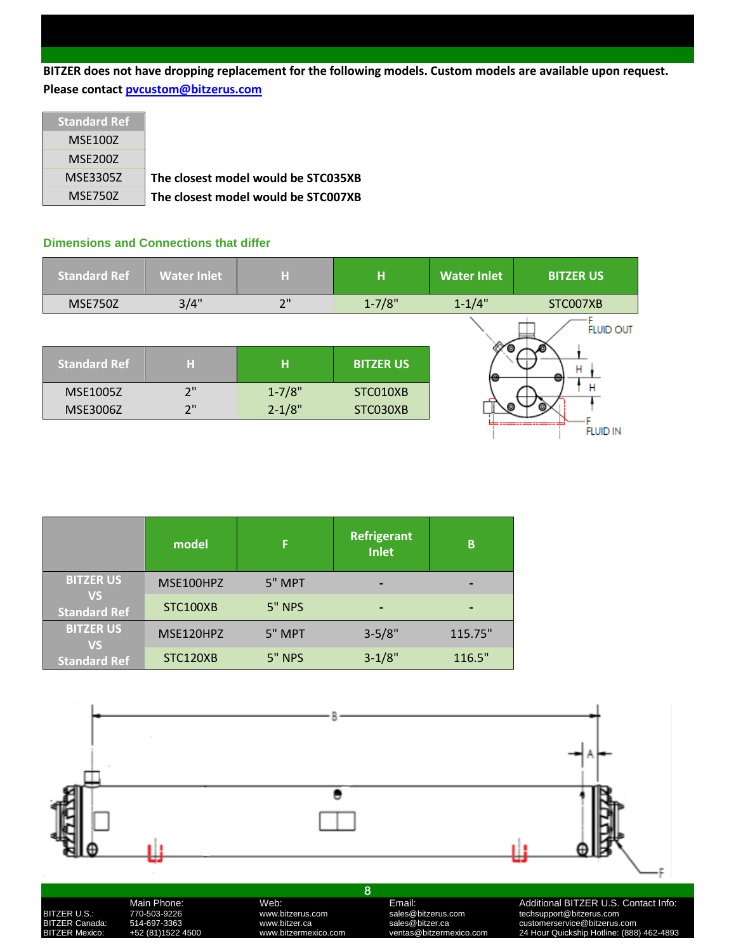**BITZER does not have dropping replacement for the following models. Custom models are available upon request. Please contac[t pvcustom@bitzerus.com](mailto:pvcustom@bitzerus.com)**

| <b>Standard Ref</b> |                                     |
|---------------------|-------------------------------------|
| <b>MSE100Z</b>      |                                     |
| <b>MSE200Z</b>      |                                     |
| MSE3305Z            | The closest model would be STC035XB |
| MSE750Z             | The closest model would be STC007XB |

### **Dimensions and Connections that differ**

| <b>Standard Ref</b> | <b>Water Inlet</b> | н          | н                | <b>Water Inlet</b> | <b>BITZER US</b> |
|---------------------|--------------------|------------|------------------|--------------------|------------------|
| <b>MSE750Z</b>      | 3/4"               | 2"         | $1 - 7/8"$       | $1 - 1/4"$         | STC007XB         |
|                     |                    |            |                  | Θ                  | <b>FLUID OUT</b> |
| <b>Standard Ref</b> | н                  | H          | <b>BITZER US</b> | ю                  | н                |
| MSE1005Z            | 2"                 | $1 - 7/8"$ | STC010XB         |                    | Н                |
| MSE3006Z            | 2"                 | $2 - 1/8"$ | STC030XB         |                    |                  |
|                     |                    |            |                  |                    | <b>FLUID IN</b>  |

|                                  | model           | F             | <b>Refrigerant</b><br>Inlet | B       |
|----------------------------------|-----------------|---------------|-----------------------------|---------|
| <b>BITZER US</b>                 | MSE100HPZ       | 5" MPT        |                             |         |
| <b>VS</b><br><b>Standard Ref</b> | <b>STC100XB</b> | <b>5" NPS</b> | $\,$                        |         |
| <b>BITZER US</b><br><b>VS</b>    | MSE120HPZ       | 5" MPT        | $3 - 5/8"$                  | 115.75" |
| <b>Standard Ref</b>              | STC120XB        | 5" NPS        | $3 - 1/8"$                  | 116.5"  |

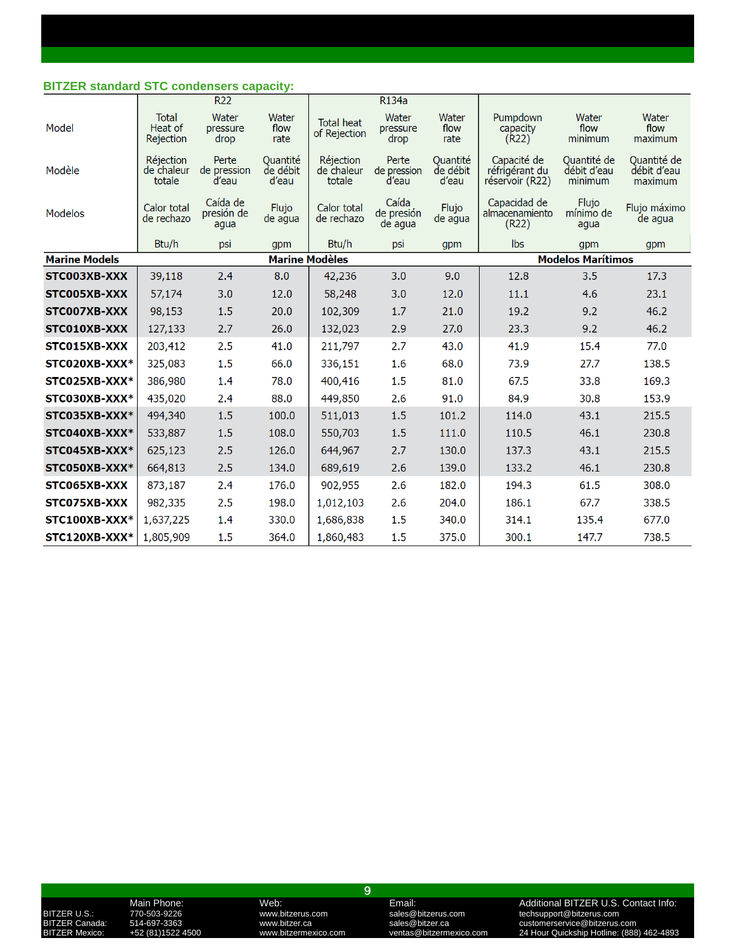### **BITZER standard STC condensers capacity:**

|                      |                                          | <b>R22</b>                     |                               |                                   | R134a                          |                               |                                                  |                                       |                                       |
|----------------------|------------------------------------------|--------------------------------|-------------------------------|-----------------------------------|--------------------------------|-------------------------------|--------------------------------------------------|---------------------------------------|---------------------------------------|
| Model                | <b>Total</b><br>Heat of<br>Rejection     | Water<br>pressure<br>drop      | Water<br>flow<br>rate         | <b>Total heat</b><br>of Rejection | Water<br>pressure<br>drop      | Water<br>flow<br>rate         | Pumpdown<br>capacity<br>(R22)                    | Water<br>flow<br>minimum              | Water<br>flow<br>maximum              |
| Modèle               | <b>Réjection</b><br>de chaleur<br>totale | Perte<br>de pression<br>d'eau  | Ouantité<br>de débit<br>d'eau | Réjection<br>de chaleur<br>totale | Perte<br>de pression<br>d'eau  | Ouantité<br>de débit<br>d'eau | Capacité de<br>réfrigérant du<br>réservoir (R22) | Ouantité de<br>débit d'eau<br>minimum | Ouantité de<br>débit d'eau<br>maximum |
| <b>Modelos</b>       | Calor total<br>de rechazo                | Caída de<br>presión de<br>agua | Flujo<br>de agua              | Calor total<br>de rechazo         | Caída<br>de presión<br>de agua | Flujo<br>de agua              | Capacidad de<br>almacenamiento<br>(R22)          | Flujo<br>mínimo de<br>agua            | Flujo máximo<br>de agua               |
|                      | Btu/h                                    | psi                            | gpm                           | Btu/h                             | psi                            | gpm                           | <b>lbs</b>                                       | gpm                                   | gpm                                   |
| <b>Marine Models</b> |                                          |                                | <b>Marine Modèles</b>         |                                   |                                |                               |                                                  | <b>Modelos Marítimos</b>              |                                       |
| STC003XB-XXX         | 39,118                                   | 2.4                            | 8.0                           | 42,236                            | 3.0                            | 9.0                           | 12.8                                             | 3.5                                   | 17.3                                  |
| STC005XB-XXX         | 57,174                                   | 3.0                            | 12.0                          | 58,248                            | 3.0                            | 12.0                          | 11.1                                             | 4.6                                   | 23.1                                  |
| STC007XB-XXX         | 98,153                                   | 1.5                            | 20.0                          | 102,309                           | 1.7                            | 21.0                          | 19.2                                             | 9.2                                   | 46.2                                  |
| STC010XB-XXX         | 127,133                                  | 2.7                            | 26.0                          | 132,023                           | 2.9                            | 27.0                          | 23.3                                             | 9.2                                   | 46.2                                  |
| STC015XB-XXX         | 203,412                                  | 2.5                            | 41.0                          | 211,797                           | 2.7                            | 43.0                          | 41.9                                             | 15.4                                  | 77.0                                  |
| STC020XB-XXX*        | 325,083                                  | 1.5                            | 66.0                          | 336,151                           | 1.6                            | 68.0                          | 73.9                                             | 27.7                                  | 138.5                                 |
| STC025XB-XXX*        | 386,980                                  | 1.4                            | 78.0                          | 400,416                           | 1.5                            | 81.0                          | 67.5                                             | 33.8                                  | 169.3                                 |
| STC030XB-XXX*        | 435,020                                  | 2.4                            | 88.0                          | 449,850                           | 2.6                            | 91.0                          | 84.9                                             | 30.8                                  | 153.9                                 |
| STC035XB-XXX*        | 494,340                                  | 1.5                            | 100.0                         | 511,013                           | 1.5                            | 101.2                         | 114.0                                            | 43.1                                  | 215.5                                 |
| STC040XB-XXX*        | 533,887                                  | 1.5                            | 108.0                         | 550,703                           | 1.5                            | 111.0                         | 110.5                                            | 46.1                                  | 230.8                                 |
| STC045XB-XXX*        | 625,123                                  | 2.5                            | 126.0                         | 644,967                           | 2.7                            | 130.0                         | 137.3                                            | 43.1                                  | 215.5                                 |
| STC050XB-XXX*        | 664,813                                  | 2.5                            | 134.0                         | 689,619                           | 2.6                            | 139.0                         | 133.2                                            | 46.1                                  | 230.8                                 |
| STC065XB-XXX         | 873,187                                  | 2.4                            | 176.0                         | 902,955                           | 2.6                            | 182.0                         | 194.3                                            | 61.5                                  | 308.0                                 |
| STC075XB-XXX         | 982,335                                  | 2.5                            | 198.0                         | 1,012,103                         | 2.6                            | 204.0                         | 186.1                                            | 67.7                                  | 338.5                                 |
| STC100XB-XXX*        | 1,637,225                                | 1.4                            | 330.0                         | 1,686,838                         | 1.5                            | 340.0                         | 314.1                                            | 135.4                                 | 677.0                                 |
| STC120XB-XXX*        | 1,805,909                                | 1.5                            | 364.0                         | 1,860,483                         | 1.5                            | 375.0                         | 300.1                                            | 147.7                                 | 738.5                                 |

**9**

Main Phone: Web: Web: Email: Email: Additional BITZER U.S. Contact Info:<br>170-503-9226 www.bitzerus.com sales@bitzerus.com techsupport@bitzerus.com<br>14-697-3363 www.bitzer.ca sales@bitzer.ca customerservice@bitzerus.com BITZER U.S.: 770-503-9226 www.bitzerus.com sales@bitzerus.com techsupport@bitzerus.com BITZER Canada: 514-697-3363 www.bitzer.ca sales@bitzer.ca customerservice@bitzerus.com BITZER U.S.:  $\frac{1}{20}$ <br>BITZER Canada: 514-697-3363 www.bitzer.ca sales@bitzerus.com clecksupport@bitzerus.com<br>BITZER Mexico: +52 (81)1522 4500 www.bitzermexico.com ventas@bitzermexico.com 24 Hour Quickship Hotline: (888)<br>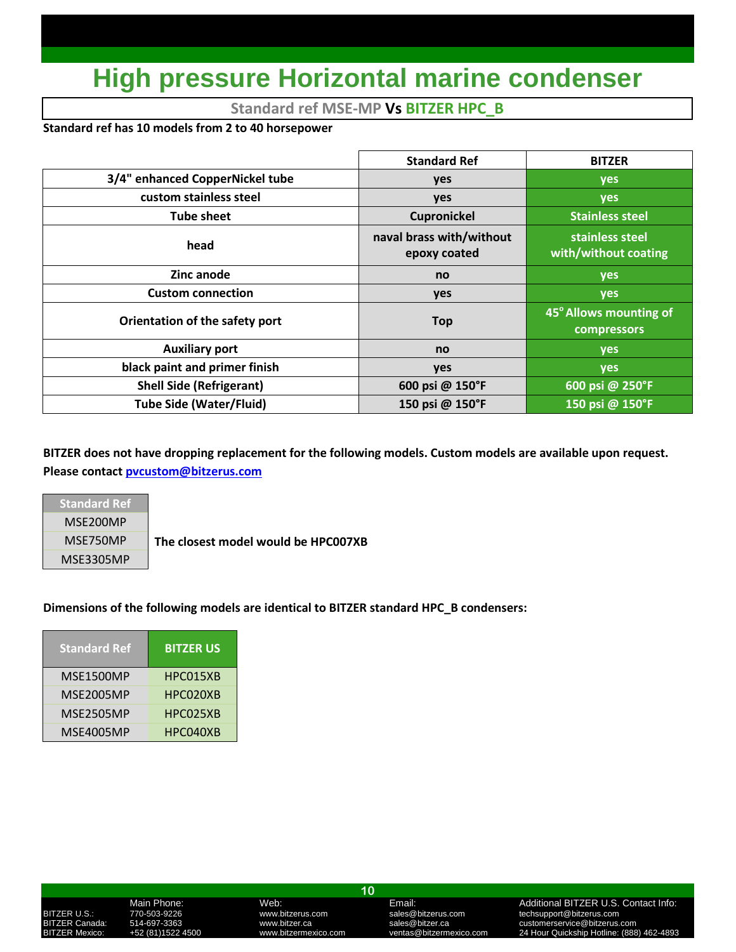# **High pressure Horizontal marine condenser**

## **Standard ref MSE-MP Vs BITZER HPC\_B**

## **Standard ref has 10 models from 2 to 40 horsepower**

|                                 | <b>Standard Ref</b>                      | <b>BITZER</b>                           |
|---------------------------------|------------------------------------------|-----------------------------------------|
| 3/4" enhanced CopperNickel tube | yes                                      | yes                                     |
| custom stainless steel          | <b>yes</b>                               | <b>yes</b>                              |
| <b>Tube sheet</b>               | Cupronickel                              | <b>Stainless steel</b>                  |
| head                            | naval brass with/without<br>epoxy coated | stainless steel<br>with/without coating |
| Zinc anode                      | no                                       | <b>yes</b>                              |
| <b>Custom connection</b>        | yes                                      | <b>yes</b>                              |
| Orientation of the safety port  | <b>Top</b>                               | 45° Allows mounting of<br>compressors   |
| <b>Auxiliary port</b>           | no                                       | yes                                     |
| black paint and primer finish   | <b>yes</b>                               | <b>yes</b>                              |
| <b>Shell Side (Refrigerant)</b> | 600 psi @ 150°F                          | 600 psi @ 250°F                         |
| <b>Tube Side (Water/Fluid)</b>  | 150 psi @ 150°F                          | 150 psi @ 150°F                         |

**BITZER does not have dropping replacement for the following models. Custom models are available upon request. Please contac[t pvcustom@bitzerus.com](mailto:pvcustom@bitzerus.com)**

**Standard Ref** MSE200MP MSE3305MP

MSE750MP **The closest model would be HPC007XB**

## **Dimensions of the following models are identical to BITZER standard HPC\_B condensers:**

| <b>Standard Ref</b> | <b>BITZER US</b> |
|---------------------|------------------|
| MSE1500MP           | HPC015XB         |
| <b>MSE2005MP</b>    | HPC020XB         |
| <b>MSE2505MP</b>    | HPC025XB         |
| MSE4005MP           | HPC040XB         |

**10**